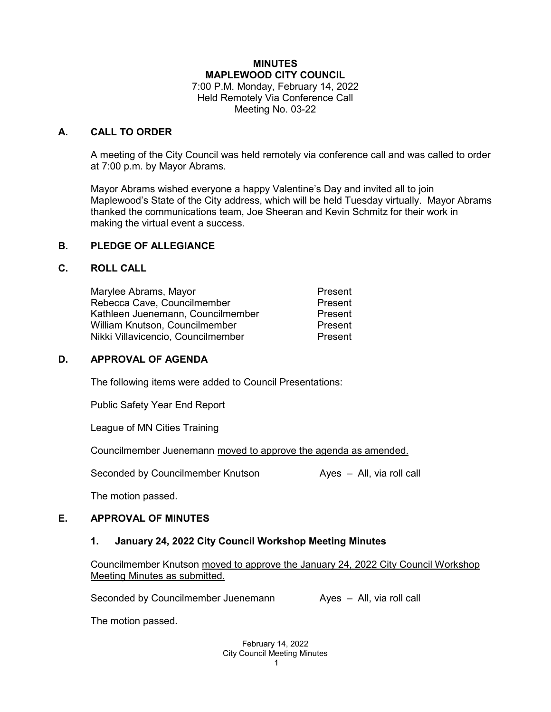#### **MINUTES MAPLEWOOD CITY COUNCIL** 7:00 P.M. Monday, February 14, 2022

Held Remotely Via Conference Call Meeting No. 03-22

## **A. CALL TO ORDER**

A meeting of the City Council was held remotely via conference call and was called to order at 7:00 p.m. by Mayor Abrams.

Mayor Abrams wished everyone a happy Valentine's Day and invited all to join Maplewood's State of the City address, which will be held Tuesday virtually. Mayor Abrams thanked the communications team, Joe Sheeran and Kevin Schmitz for their work in making the virtual event a success.

## **B. PLEDGE OF ALLEGIANCE**

## **C. ROLL CALL**

| Marylee Abrams, Mayor              | Present |
|------------------------------------|---------|
| Rebecca Cave, Councilmember        | Present |
| Kathleen Juenemann, Councilmember  | Present |
| William Knutson, Councilmember     | Present |
| Nikki Villavicencio, Councilmember | Present |
|                                    |         |

## **D. APPROVAL OF AGENDA**

The following items were added to Council Presentations:

Public Safety Year End Report

League of MN Cities Training

Councilmember Juenemann moved to approve the agenda as amended.

Seconded by Councilmember Knutson Ayes – All, via roll call

The motion passed.

## **E. APPROVAL OF MINUTES**

## **1. January 24, 2022 City Council Workshop Meeting Minutes**

Councilmember Knutson moved to approve the January 24, 2022 City Council Workshop Meeting Minutes as submitted.

Seconded by Councilmember Juenemann Ayes – All, via roll call

The motion passed.

February 14, 2022 City Council Meeting Minutes 1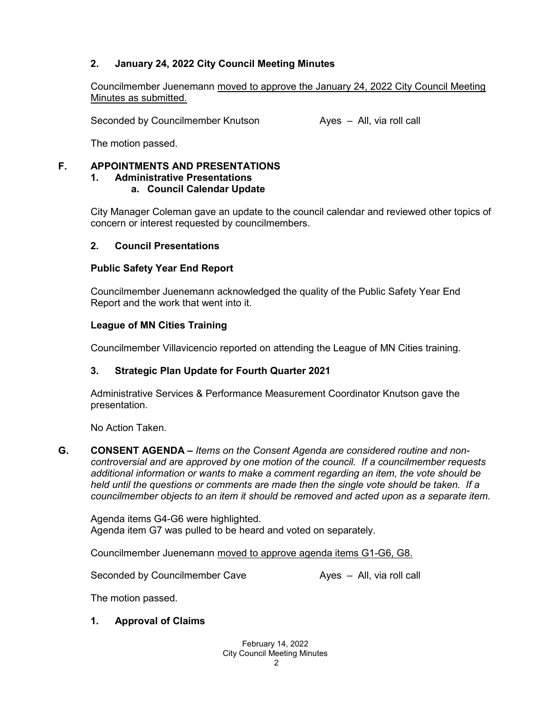## **2. January 24, 2022 City Council Meeting Minutes**

Councilmember Juenemann moved to approve the January 24, 2022 City Council Meeting Minutes as submitted.

Seconded by Councilmember Knutson **Ayes – All, via roll call** 

The motion passed.

#### **F. APPOINTMENTS AND PRESENTATIONS 1. Administrative Presentations**

# **a. Council Calendar Update**

City Manager Coleman gave an update to the council calendar and reviewed other topics of concern or interest requested by councilmembers.

## **2. Council Presentations**

## **Public Safety Year End Report**

Councilmember Juenemann acknowledged the quality of the Public Safety Year End Report and the work that went into it.

## **League of MN Cities Training**

Councilmember Villavicencio reported on attending the League of MN Cities training.

## **3. Strategic Plan Update for Fourth Quarter 2021**

Administrative Services & Performance Measurement Coordinator Knutson gave the presentation.

No Action Taken.

**G. CONSENT AGENDA –** *Items on the Consent Agenda are considered routine and noncontroversial and are approved by one motion of the council. If a councilmember requests additional information or wants to make a comment regarding an item, the vote should be held until the questions or comments are made then the single vote should be taken. If a councilmember objects to an item it should be removed and acted upon as a separate item.*

Agenda items G4-G6 were highlighted. Agenda item G7 was pulled to be heard and voted on separately.

Councilmember Juenemann moved to approve agenda items G1-G6, G8.

Seconded by Councilmember Cave Ayes – All, via roll call

The motion passed.

## **1. Approval of Claims**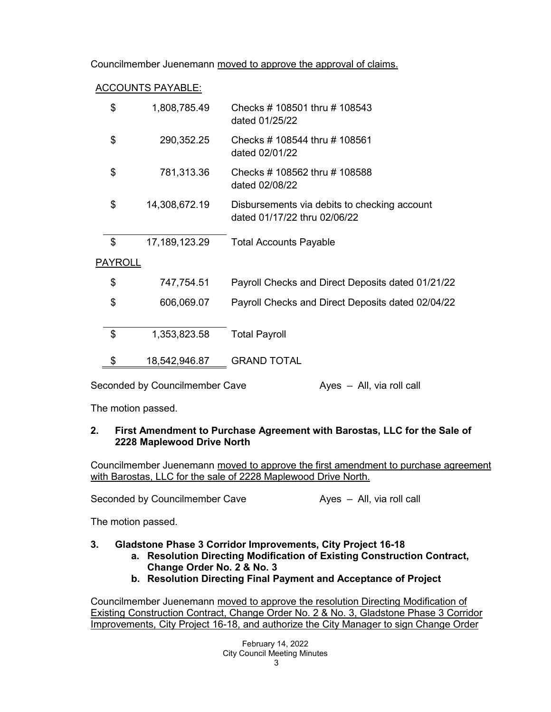Councilmember Juenemann moved to approve the approval of claims.

## ACCOUNTS PAYABLE:

| \$      | 1,808,785.49  | Checks # 108501 thru # 108543<br>dated 01/25/22                              |
|---------|---------------|------------------------------------------------------------------------------|
| \$      | 290,352.25    | Checks # 108544 thru # 108561<br>dated 02/01/22                              |
| \$      | 781,313.36    | Checks #108562 thru #108588<br>dated 02/08/22                                |
| \$      | 14,308,672.19 | Disbursements via debits to checking account<br>dated 01/17/22 thru 02/06/22 |
| \$      | 17,189,123.29 | <b>Total Accounts Payable</b>                                                |
| PAYROLL |               |                                                                              |
| \$      | 747,754.51    | Payroll Checks and Direct Deposits dated 01/21/22                            |
| \$      | 606,069.07    | Payroll Checks and Direct Deposits dated 02/04/22                            |
| \$      | 1,353,823.58  | <b>Total Payroll</b>                                                         |
|         | 18,542,946.87 | <b>GRAND TOTAL</b>                                                           |

Seconded by Councilmember Cave Ayes – All, via roll call

The motion passed.

## **2. First Amendment to Purchase Agreement with Barostas, LLC for the Sale of 2228 Maplewood Drive North**

Councilmember Juenemann moved to approve the first amendment to purchase agreement with Barostas, LLC for the sale of 2228 Maplewood Drive North.

Seconded by Councilmember Cave Ayes – All, via roll call

The motion passed.

- **3. Gladstone Phase 3 Corridor Improvements, City Project 16-18**
	- **a. Resolution Directing Modification of Existing Construction Contract, Change Order No. 2 & No. 3**
	- **b. Resolution Directing Final Payment and Acceptance of Project**

Councilmember Juenemann moved to approve the resolution Directing Modification of Existing Construction Contract, Change Order No. 2 & No. 3, Gladstone Phase 3 Corridor Improvements, City Project 16-18, and authorize the City Manager to sign Change Order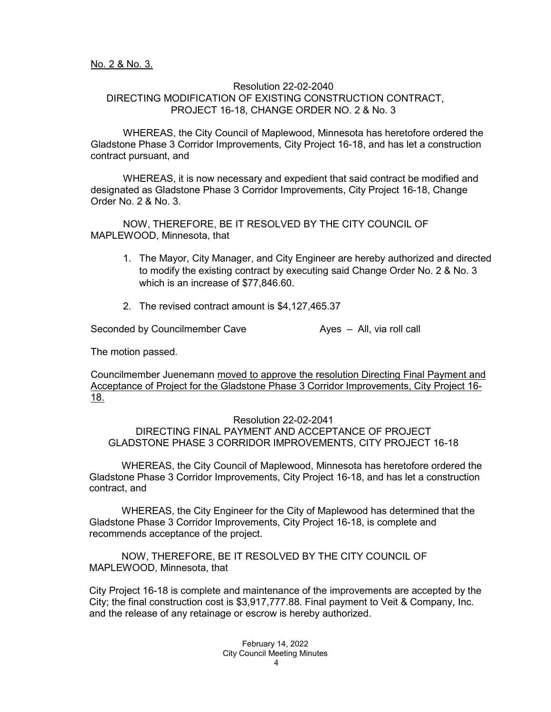#### Resolution 22-02-2040 DIRECTING MODIFICATION OF EXISTING CONSTRUCTION CONTRACT, PROJECT 16-18, CHANGE ORDER NO. 2 & No. 3

WHEREAS, the City Council of Maplewood, Minnesota has heretofore ordered the Gladstone Phase 3 Corridor Improvements, City Project 16-18, and has let a construction contract pursuant, and

WHEREAS, it is now necessary and expedient that said contract be modified and designated as Gladstone Phase 3 Corridor Improvements, City Project 16-18, Change Order No. 2 & No. 3.

NOW, THEREFORE, BE IT RESOLVED BY THE CITY COUNCIL OF MAPLEWOOD, Minnesota, that

- 1. The Mayor, City Manager, and City Engineer are hereby authorized and directed to modify the existing contract by executing said Change Order No. 2 & No. 3 which is an increase of \$77,846.60.
- 2. The revised contract amount is \$4,127,465.37

Seconded by Councilmember Cave Ayes – All, via roll call

The motion passed.

Councilmember Juenemann moved to approve the resolution Directing Final Payment and Acceptance of Project for the Gladstone Phase 3 Corridor Improvements, City Project 16- 18.

Resolution 22-02-2041

DIRECTING FINAL PAYMENT AND ACCEPTANCE OF PROJECT GLADSTONE PHASE 3 CORRIDOR IMPROVEMENTS, CITY PROJECT 16-18

WHEREAS, the City Council of Maplewood, Minnesota has heretofore ordered the Gladstone Phase 3 Corridor Improvements, City Project 16-18, and has let a construction contract, and

WHEREAS, the City Engineer for the City of Maplewood has determined that the Gladstone Phase 3 Corridor Improvements, City Project 16-18, is complete and recommends acceptance of the project.

NOW, THEREFORE, BE IT RESOLVED BY THE CITY COUNCIL OF MAPLEWOOD, Minnesota, that

City Project 16-18 is complete and maintenance of the improvements are accepted by the City; the final construction cost is \$3,917,777.88. Final payment to Veit & Company, Inc. and the release of any retainage or escrow is hereby authorized.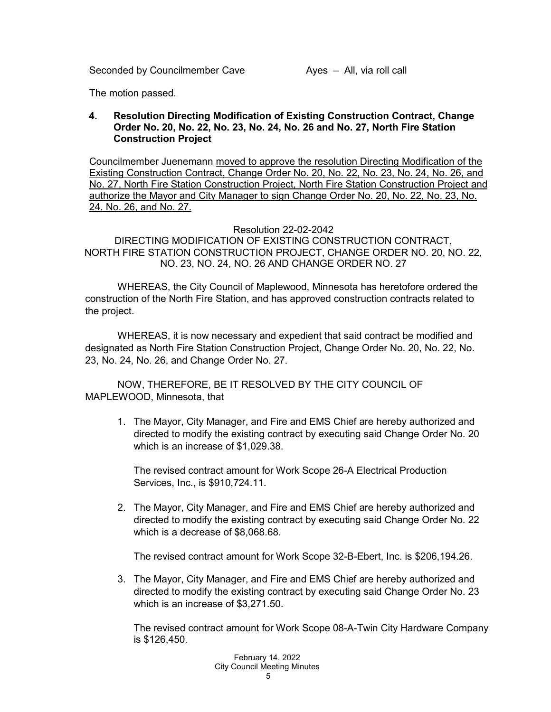The motion passed.

#### **4. Resolution Directing Modification of Existing Construction Contract, Change Order No. 20, No. 22, No. 23, No. 24, No. 26 and No. 27, North Fire Station Construction Project**

Councilmember Juenemann moved to approve the resolution Directing Modification of the Existing Construction Contract, Change Order No. 20, No. 22, No. 23, No. 24, No. 26, and No. 27, North Fire Station Construction Project, North Fire Station Construction Project and authorize the Mayor and City Manager to sign Change Order No. 20, No. 22, No. 23, No. 24, No. 26, and No. 27.

Resolution 22-02-2042

DIRECTING MODIFICATION OF EXISTING CONSTRUCTION CONTRACT, NORTH FIRE STATION CONSTRUCTION PROJECT, CHANGE ORDER NO. 20, NO. 22, NO. 23, NO. 24, NO. 26 AND CHANGE ORDER NO. 27

WHEREAS, the City Council of Maplewood, Minnesota has heretofore ordered the construction of the North Fire Station, and has approved construction contracts related to the project.

WHEREAS, it is now necessary and expedient that said contract be modified and designated as North Fire Station Construction Project, Change Order No. 20, No. 22, No. 23, No. 24, No. 26, and Change Order No. 27.

NOW, THEREFORE, BE IT RESOLVED BY THE CITY COUNCIL OF MAPLEWOOD, Minnesota, that

1. The Mayor, City Manager, and Fire and EMS Chief are hereby authorized and directed to modify the existing contract by executing said Change Order No. 20 which is an increase of \$1,029.38.

The revised contract amount for Work Scope 26-A Electrical Production Services, Inc., is \$910,724.11.

2. The Mayor, City Manager, and Fire and EMS Chief are hereby authorized and directed to modify the existing contract by executing said Change Order No. 22 which is a decrease of \$8,068.68.

The revised contract amount for Work Scope 32-B-Ebert, Inc. is \$206,194.26.

3. The Mayor, City Manager, and Fire and EMS Chief are hereby authorized and directed to modify the existing contract by executing said Change Order No. 23 which is an increase of \$3,271.50.

The revised contract amount for Work Scope 08-A-Twin City Hardware Company is \$126,450.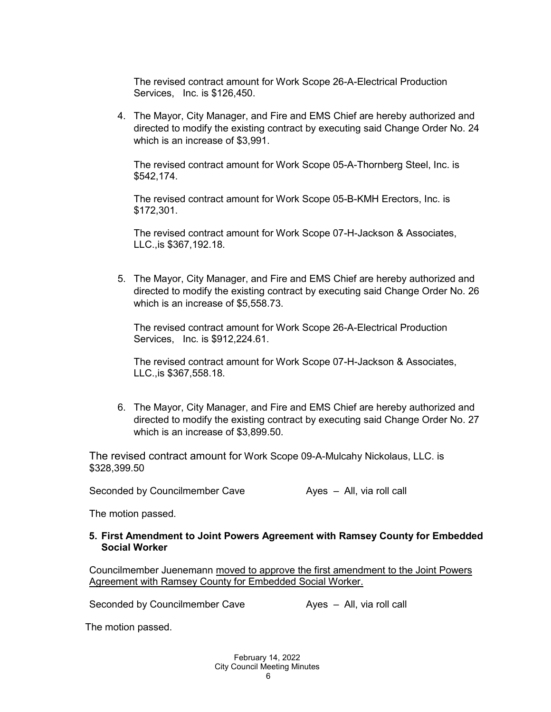The revised contract amount for Work Scope 26-A-Electrical Production Services, Inc. is \$126,450.

4. The Mayor, City Manager, and Fire and EMS Chief are hereby authorized and directed to modify the existing contract by executing said Change Order No. 24 which is an increase of \$3,991.

The revised contract amount for Work Scope 05-A-Thornberg Steel, Inc. is \$542,174.

The revised contract amount for Work Scope 05-B-KMH Erectors, Inc. is \$172,301.

The revised contract amount for Work Scope 07-H-Jackson & Associates, LLC.,is \$367,192.18.

5. The Mayor, City Manager, and Fire and EMS Chief are hereby authorized and directed to modify the existing contract by executing said Change Order No. 26 which is an increase of \$5,558.73.

The revised contract amount for Work Scope 26-A-Electrical Production Services, Inc. is \$912,224.61.

The revised contract amount for Work Scope 07-H-Jackson & Associates, LLC.,is \$367,558.18.

6. The Mayor, City Manager, and Fire and EMS Chief are hereby authorized and directed to modify the existing contract by executing said Change Order No. 27 which is an increase of \$3,899.50.

The revised contract amount for Work Scope 09-A-Mulcahy Nickolaus, LLC. is \$328,399.50

Seconded by Councilmember Cave Ayes – All, via roll call

The motion passed.

**5. First Amendment to Joint Powers Agreement with Ramsey County for Embedded Social Worker**

Councilmember Juenemann moved to approve the first amendment to the Joint Powers Agreement with Ramsey County for Embedded Social Worker.

Seconded by Councilmember Cave Ayes – All, via roll call

The motion passed.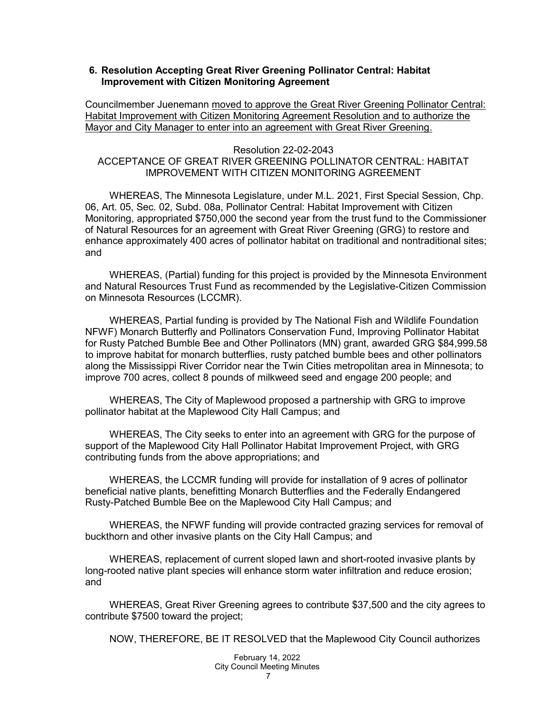#### **6. Resolution Accepting Great River Greening Pollinator Central: Habitat Improvement with Citizen Monitoring Agreement**

Councilmember Juenemann moved to approve the Great River Greening Pollinator Central: Habitat Improvement with Citizen Monitoring Agreement Resolution and to authorize the Mayor and City Manager to enter into an agreement with Great River Greening.

#### Resolution 22-02-2043

## ACCEPTANCE OF GREAT RIVER GREENING POLLINATOR CENTRAL: HABITAT IMPROVEMENT WITH CITIZEN MONITORING AGREEMENT

WHEREAS, The Minnesota Legislature, under M.L. 2021, First Special Session, Chp. 06, Art. 05, Sec. 02, Subd. 08a, Pollinator Central: Habitat Improvement with Citizen Monitoring, appropriated \$750,000 the second year from the trust fund to the Commissioner of Natural Resources for an agreement with Great River Greening (GRG) to restore and enhance approximately 400 acres of pollinator habitat on traditional and nontraditional sites; and

WHEREAS, (Partial) funding for this project is provided by the Minnesota Environment and Natural Resources Trust Fund as recommended by the Legislative-Citizen Commission on Minnesota Resources (LCCMR).

WHEREAS, Partial funding is provided by The National Fish and Wildlife Foundation NFWF) Monarch Butterfly and Pollinators Conservation Fund, Improving Pollinator Habitat for Rusty Patched Bumble Bee and Other Pollinators (MN) grant, awarded GRG \$84,999.58 to improve habitat for monarch butterflies, rusty patched bumble bees and other pollinators along the Mississippi River Corridor near the Twin Cities metropolitan area in Minnesota; to improve 700 acres, collect 8 pounds of milkweed seed and engage 200 people; and

WHEREAS, The City of Maplewood proposed a partnership with GRG to improve pollinator habitat at the Maplewood City Hall Campus; and

WHEREAS, The City seeks to enter into an agreement with GRG for the purpose of support of the Maplewood City Hall Pollinator Habitat Improvement Project, with GRG contributing funds from the above appropriations; and

WHEREAS, the LCCMR funding will provide for installation of 9 acres of pollinator beneficial native plants, benefitting Monarch Butterflies and the Federally Endangered Rusty-Patched Bumble Bee on the Maplewood City Hall Campus; and

WHEREAS, the NFWF funding will provide contracted grazing services for removal of buckthorn and other invasive plants on the City Hall Campus; and

WHEREAS, replacement of current sloped lawn and short-rooted invasive plants by long-rooted native plant species will enhance storm water infiltration and reduce erosion; and

 WHEREAS, Great River Greening agrees to contribute \$37,500 and the city agrees to contribute \$7500 toward the project;

NOW, THEREFORE, BE IT RESOLVED that the Maplewood City Council authorizes

February 14, 2022 City Council Meeting Minutes 7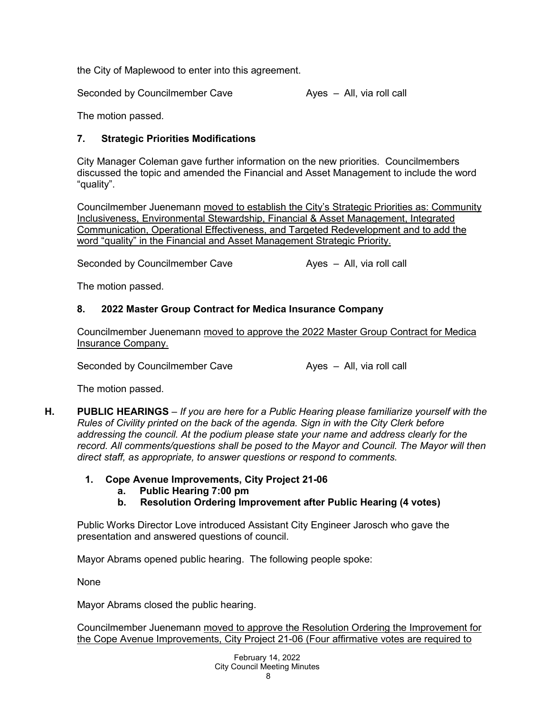the City of Maplewood to enter into this agreement.

Seconded by Councilmember Cave Ayes – All, via roll call

The motion passed.

# **7. Strategic Priorities Modifications**

City Manager Coleman gave further information on the new priorities. Councilmembers discussed the topic and amended the Financial and Asset Management to include the word "quality".

Councilmember Juenemann moved to establish the City's Strategic Priorities as: Community Inclusiveness, Environmental Stewardship, Financial & Asset Management, Integrated Communication, Operational Effectiveness, and Targeted Redevelopment and to add the word "quality" in the Financial and Asset Management Strategic Priority.

Seconded by Councilmember Cave Ayes – All, via roll call

The motion passed.

# **8. 2022 Master Group Contract for Medica Insurance Company**

Councilmember Juenemann moved to approve the 2022 Master Group Contract for Medica Insurance Company.

Seconded by Councilmember Cave Ayes – All, via roll call

The motion passed.

- **H. PUBLIC HEARINGS** *– If you are here for a Public Hearing please familiarize yourself with the Rules of Civility printed on the back of the agenda. Sign in with the City Clerk before addressing the council. At the podium please state your name and address clearly for the*  record. All comments/questions shall be posed to the Mayor and Council. The Mayor will then *direct staff, as appropriate, to answer questions or respond to comments.*
	- **1. Cope Avenue Improvements, City Project 21-06**
		- **a. Public Hearing 7:00 pm**
		- **b. Resolution Ordering Improvement after Public Hearing (4 votes)**

Public Works Director Love introduced Assistant City Engineer Jarosch who gave the presentation and answered questions of council.

Mayor Abrams opened public hearing. The following people spoke:

None

Mayor Abrams closed the public hearing.

Councilmember Juenemann moved to approve the Resolution Ordering the Improvement for the Cope Avenue Improvements, City Project 21-06 (Four affirmative votes are required to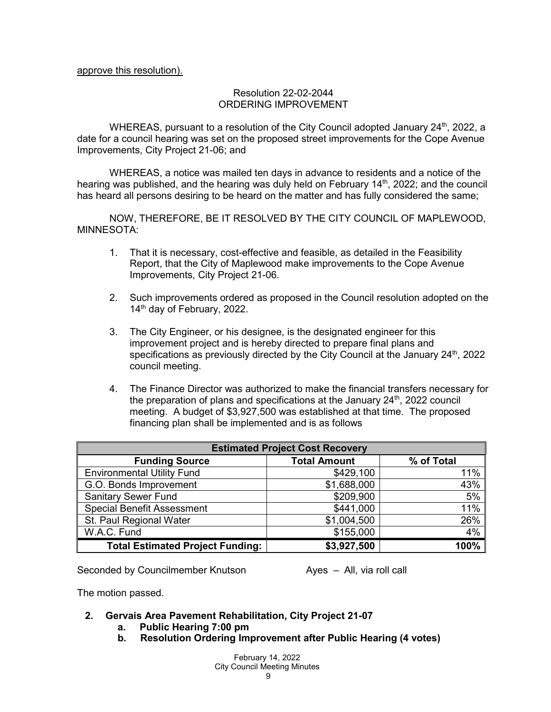#### Resolution 22-02-2044 ORDERING IMPROVEMENT

WHEREAS, pursuant to a resolution of the City Council adopted January  $24<sup>th</sup>$ , 2022, a date for a council hearing was set on the proposed street improvements for the Cope Avenue Improvements, City Project 21-06; and

WHEREAS, a notice was mailed ten days in advance to residents and a notice of the hearing was published, and the hearing was duly held on February 14<sup>th</sup>, 2022; and the council has heard all persons desiring to be heard on the matter and has fully considered the same;

NOW, THEREFORE, BE IT RESOLVED BY THE CITY COUNCIL OF MAPLEWOOD, MINNESOTA:

- 1. That it is necessary, cost-effective and feasible, as detailed in the Feasibility Report, that the City of Maplewood make improvements to the Cope Avenue Improvements, City Project 21-06.
- 2. Such improvements ordered as proposed in the Council resolution adopted on the 14<sup>th</sup> day of February, 2022.
- 3. The City Engineer, or his designee, is the designated engineer for this improvement project and is hereby directed to prepare final plans and specifications as previously directed by the City Council at the January  $24<sup>th</sup>$ , 2022 council meeting.
- 4. The Finance Director was authorized to make the financial transfers necessary for the preparation of plans and specifications at the January  $24<sup>th</sup>$ , 2022 council meeting. A budget of \$3,927,500 was established at that time. The proposed financing plan shall be implemented and is as follows

| <b>Estimated Project Cost Recovery</b>  |                     |            |  |
|-----------------------------------------|---------------------|------------|--|
| <b>Funding Source</b>                   | <b>Total Amount</b> | % of Total |  |
| <b>Environmental Utility Fund</b>       | \$429,100           | 11%        |  |
| G.O. Bonds Improvement                  | \$1,688,000         | 43%        |  |
| <b>Sanitary Sewer Fund</b>              | \$209,900           | 5%         |  |
| <b>Special Benefit Assessment</b>       | \$441,000           | 11%        |  |
| St. Paul Regional Water                 | \$1,004,500         | 26%        |  |
| W.A.C. Fund                             | \$155,000           | 4%         |  |
| <b>Total Estimated Project Funding:</b> | \$3,927,500         | 100%       |  |

Seconded by Councilmember Knutson Ayes – All, via roll call

The motion passed.

## **2. Gervais Area Pavement Rehabilitation, City Project 21-07**

- **a. Public Hearing 7:00 pm**
- **b. Resolution Ordering Improvement after Public Hearing (4 votes)**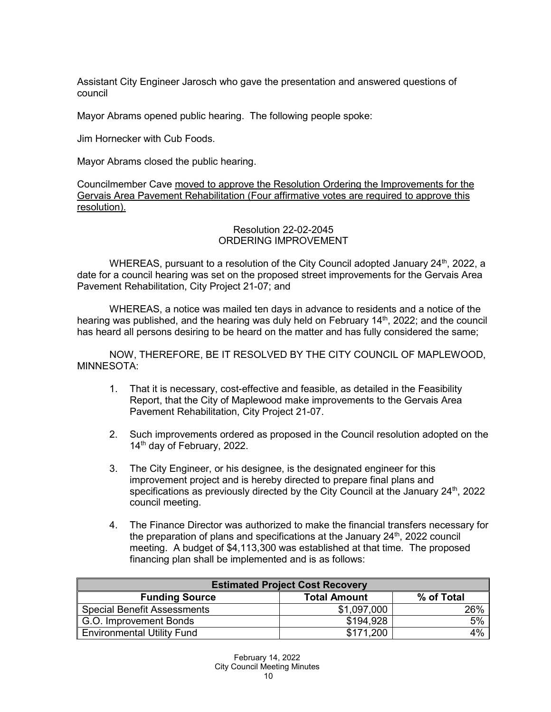Assistant City Engineer Jarosch who gave the presentation and answered questions of council

Mayor Abrams opened public hearing. The following people spoke:

Jim Hornecker with Cub Foods.

Mayor Abrams closed the public hearing.

Councilmember Cave moved to approve the Resolution Ordering the Improvements for the Gervais Area Pavement Rehabilitation (Four affirmative votes are required to approve this resolution).

#### Resolution 22-02-2045 ORDERING IMPROVEMENT

WHEREAS, pursuant to a resolution of the City Council adopted January  $24<sup>th</sup>$ , 2022, a date for a council hearing was set on the proposed street improvements for the Gervais Area Pavement Rehabilitation, City Project 21-07; and

WHEREAS, a notice was mailed ten days in advance to residents and a notice of the hearing was published, and the hearing was duly held on February 14<sup>th</sup>, 2022; and the council has heard all persons desiring to be heard on the matter and has fully considered the same;

NOW, THEREFORE, BE IT RESOLVED BY THE CITY COUNCIL OF MAPLEWOOD, MINNESOTA:

- 1. That it is necessary, cost-effective and feasible, as detailed in the Feasibility Report, that the City of Maplewood make improvements to the Gervais Area Pavement Rehabilitation, City Project 21-07.
- 2. Such improvements ordered as proposed in the Council resolution adopted on the 14<sup>th</sup> day of February, 2022.
- 3. The City Engineer, or his designee, is the designated engineer for this improvement project and is hereby directed to prepare final plans and specifications as previously directed by the City Council at the January  $24<sup>th</sup>$ , 2022 council meeting.
- 4. The Finance Director was authorized to make the financial transfers necessary for the preparation of plans and specifications at the January  $24<sup>th</sup>$ , 2022 council meeting. A budget of \$4,113,300 was established at that time. The proposed financing plan shall be implemented and is as follows:

| <b>Estimated Project Cost Recovery</b> |                     |            |  |
|----------------------------------------|---------------------|------------|--|
| <b>Funding Source</b>                  | <b>Total Amount</b> | % of Total |  |
| <b>Special Benefit Assessments</b>     | \$1,097,000         | 26%        |  |
| G.O. Improvement Bonds                 | \$194,928           | $5\%$      |  |
| <b>Environmental Utility Fund</b>      | \$171,200           | 4% l       |  |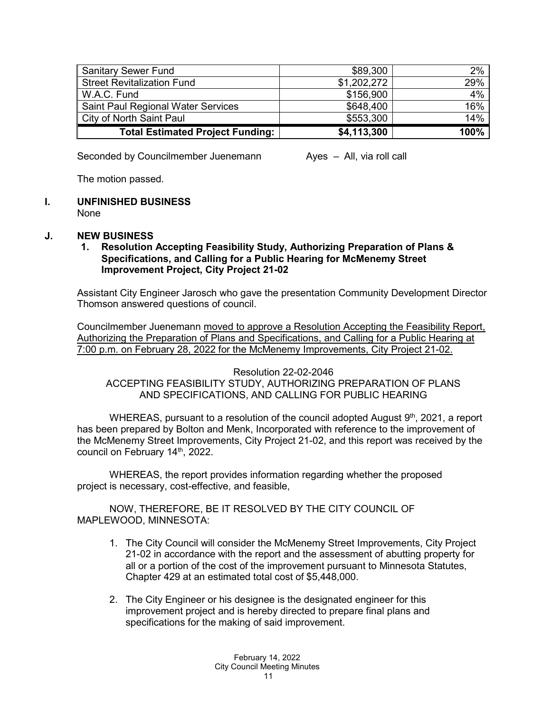| <b>Sanitary Sewer Fund</b>                | \$89,300    | $2\%$ |
|-------------------------------------------|-------------|-------|
| <b>Street Revitalization Fund</b>         | \$1,202,272 | 29%   |
| W.A.C. Fund                               | \$156,900   | $4\%$ |
| <b>Saint Paul Regional Water Services</b> | \$648,400   | 16%   |
| City of North Saint Paul                  | \$553,300   | 14%   |
| <b>Total Estimated Project Funding:</b>   | \$4,113,300 | 100%  |

Seconded by Councilmember Juenemann Ayes – All, via roll call

The motion passed.

## **I. UNFINISHED BUSINESS**

None

## **J. NEW BUSINESS**

### **1. Resolution Accepting Feasibility Study, Authorizing Preparation of Plans & Specifications, and Calling for a Public Hearing for McMenemy Street Improvement Project, City Project 21-02**

Assistant City Engineer Jarosch who gave the presentation Community Development Director Thomson answered questions of council.

Councilmember Juenemann moved to approve a Resolution Accepting the Feasibility Report, Authorizing the Preparation of Plans and Specifications, and Calling for a Public Hearing at 7:00 p.m. on February 28, 2022 for the McMenemy Improvements, City Project 21-02.

Resolution 22-02-2046

ACCEPTING FEASIBILITY STUDY, AUTHORIZING PREPARATION OF PLANS AND SPECIFICATIONS, AND CALLING FOR PUBLIC HEARING

WHEREAS, pursuant to a resolution of the council adopted August  $9<sup>th</sup>$ , 2021, a report has been prepared by Bolton and Menk, Incorporated with reference to the improvement of the McMenemy Street Improvements, City Project 21-02, and this report was received by the council on February 14<sup>th</sup>, 2022.

WHEREAS, the report provides information regarding whether the proposed project is necessary, cost-effective, and feasible,

NOW, THEREFORE, BE IT RESOLVED BY THE CITY COUNCIL OF MAPLEWOOD, MINNESOTA:

- 1. The City Council will consider the McMenemy Street Improvements, City Project 21-02 in accordance with the report and the assessment of abutting property for all or a portion of the cost of the improvement pursuant to Minnesota Statutes, Chapter 429 at an estimated total cost of \$5,448,000.
- 2. The City Engineer or his designee is the designated engineer for this improvement project and is hereby directed to prepare final plans and specifications for the making of said improvement.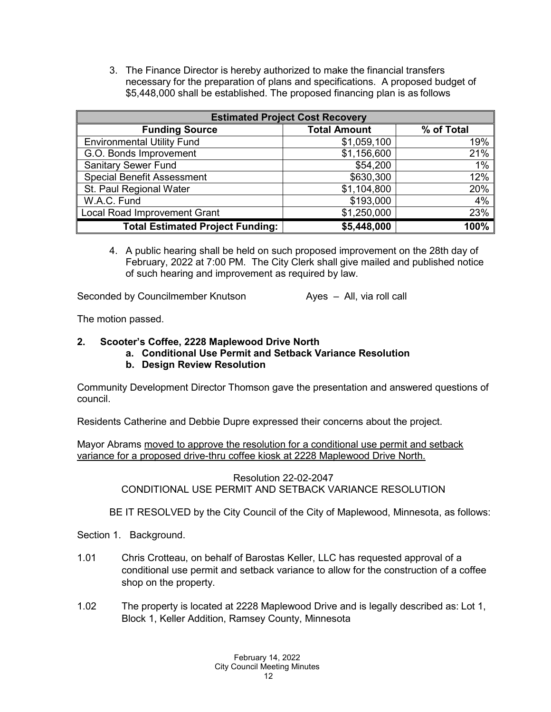3. The Finance Director is hereby authorized to make the financial transfers necessary for the preparation of plans and specifications. A proposed budget of \$5,448,000 shall be established. The proposed financing plan is as follows

| <b>Estimated Project Cost Recovery</b>  |                     |            |  |
|-----------------------------------------|---------------------|------------|--|
| <b>Funding Source</b>                   | <b>Total Amount</b> | % of Total |  |
| <b>Environmental Utility Fund</b>       | \$1,059,100         | 19%        |  |
| G.O. Bonds Improvement                  | \$1,156,600         | 21%        |  |
| <b>Sanitary Sewer Fund</b>              | \$54,200            | $1\%$      |  |
| <b>Special Benefit Assessment</b>       | \$630,300           | $12\%$     |  |
| St. Paul Regional Water                 | \$1,104,800         | 20%        |  |
| W.A.C. Fund                             | \$193,000           | 4%         |  |
| <b>Local Road Improvement Grant</b>     | \$1,250,000         | 23%        |  |
| <b>Total Estimated Project Funding:</b> | \$5,448,000         | 100%       |  |

4. A public hearing shall be held on such proposed improvement on the 28th day of February, 2022 at 7:00 PM. The City Clerk shall give mailed and published notice of such hearing and improvement as required by law.

Seconded by Councilmember Knutson **Ayes** – All, via roll call

The motion passed.

# **2. Scooter's Coffee, 2228 Maplewood Drive North**

**a. Conditional Use Permit and Setback Variance Resolution**

## **b. Design Review Resolution**

Community Development Director Thomson gave the presentation and answered questions of council.

Residents Catherine and Debbie Dupre expressed their concerns about the project.

Mayor Abrams moved to approve the resolution for a conditional use permit and setback variance for a proposed drive-thru coffee kiosk at 2228 Maplewood Drive North.

> Resolution 22-02-2047 CONDITIONAL USE PERMIT AND SETBACK VARIANCE RESOLUTION

BE IT RESOLVED by the City Council of the City of Maplewood, Minnesota, as follows:

Section 1. Background.

- 1.01 Chris Crotteau, on behalf of Barostas Keller, LLC has requested approval of a conditional use permit and setback variance to allow for the construction of a coffee shop on the property.
- 1.02 The property is located at 2228 Maplewood Drive and is legally described as: Lot 1, Block 1, Keller Addition, Ramsey County, Minnesota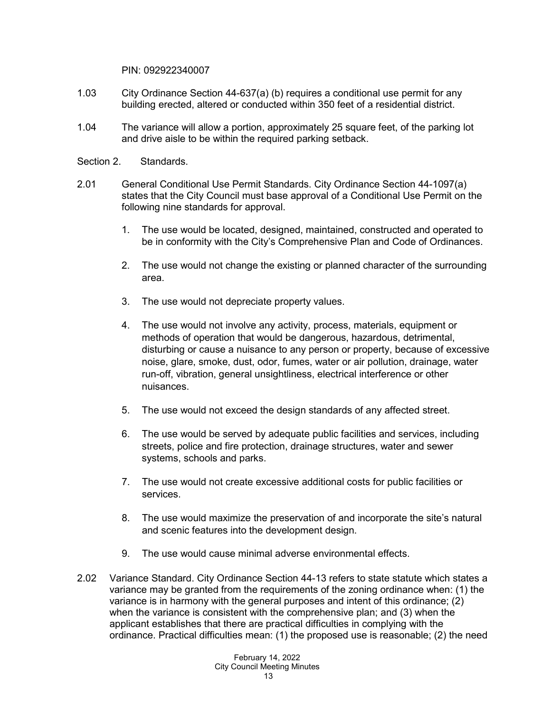PIN: 092922340007

- 1.03 City Ordinance Section 44-637(a) (b) requires a conditional use permit for any building erected, altered or conducted within 350 feet of a residential district.
- 1.04 The variance will allow a portion, approximately 25 square feet, of the parking lot and drive aisle to be within the required parking setback.

Section 2. Standards

- 2.01 General Conditional Use Permit Standards. City Ordinance Section 44-1097(a) states that the City Council must base approval of a Conditional Use Permit on the following nine standards for approval.
	- 1. The use would be located, designed, maintained, constructed and operated to be in conformity with the City's Comprehensive Plan and Code of Ordinances.
	- 2. The use would not change the existing or planned character of the surrounding area.
	- 3. The use would not depreciate property values.
	- 4. The use would not involve any activity, process, materials, equipment or methods of operation that would be dangerous, hazardous, detrimental, disturbing or cause a nuisance to any person or property, because of excessive noise, glare, smoke, dust, odor, fumes, water or air pollution, drainage, water run-off, vibration, general unsightliness, electrical interference or other nuisances.
	- 5. The use would not exceed the design standards of any affected street.
	- 6. The use would be served by adequate public facilities and services, including streets, police and fire protection, drainage structures, water and sewer systems, schools and parks.
	- 7. The use would not create excessive additional costs for public facilities or services.
	- 8. The use would maximize the preservation of and incorporate the site's natural and scenic features into the development design.
	- 9. The use would cause minimal adverse environmental effects.
- 2.02 Variance Standard. City Ordinance Section 44-13 refers to state statute which states a variance may be granted from the requirements of the zoning ordinance when: (1) the variance is in harmony with the general purposes and intent of this ordinance; (2) when the variance is consistent with the comprehensive plan; and (3) when the applicant establishes that there are practical difficulties in complying with the ordinance. Practical difficulties mean: (1) the proposed use is reasonable; (2) the need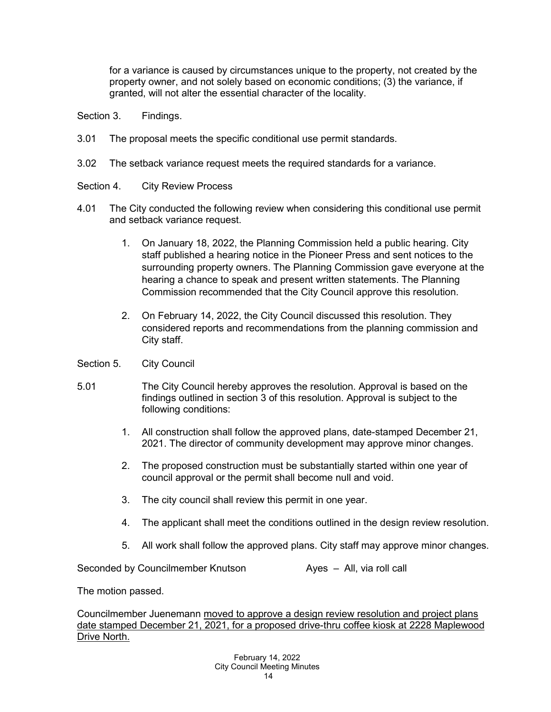for a variance is caused by circumstances unique to the property, not created by the property owner, and not solely based on economic conditions; (3) the variance, if granted, will not alter the essential character of the locality.

Section 3. Findings.

- 3.01 The proposal meets the specific conditional use permit standards.
- 3.02 The setback variance request meets the required standards for a variance.
- Section 4. City Review Process
- 4.01 The City conducted the following review when considering this conditional use permit and setback variance request.
	- 1. On January 18, 2022, the Planning Commission held a public hearing. City staff published a hearing notice in the Pioneer Press and sent notices to the surrounding property owners. The Planning Commission gave everyone at the hearing a chance to speak and present written statements. The Planning Commission recommended that the City Council approve this resolution.
	- 2. On February 14, 2022, the City Council discussed this resolution. They considered reports and recommendations from the planning commission and City staff.
- Section 5. City Council
- 5.01 The City Council hereby approves the resolution. Approval is based on the findings outlined in section 3 of this resolution. Approval is subject to the following conditions:
	- 1. All construction shall follow the approved plans, date-stamped December 21, 2021. The director of community development may approve minor changes.
	- 2. The proposed construction must be substantially started within one year of council approval or the permit shall become null and void.
	- 3. The city council shall review this permit in one year.
	- 4. The applicant shall meet the conditions outlined in the design review resolution.
	- 5. All work shall follow the approved plans. City staff may approve minor changes.

Seconded by Councilmember Knutson **Ayes** – All, via roll call

The motion passed.

Councilmember Juenemann moved to approve a design review resolution and project plans date stamped December 21, 2021, for a proposed drive-thru coffee kiosk at 2228 Maplewood Drive North.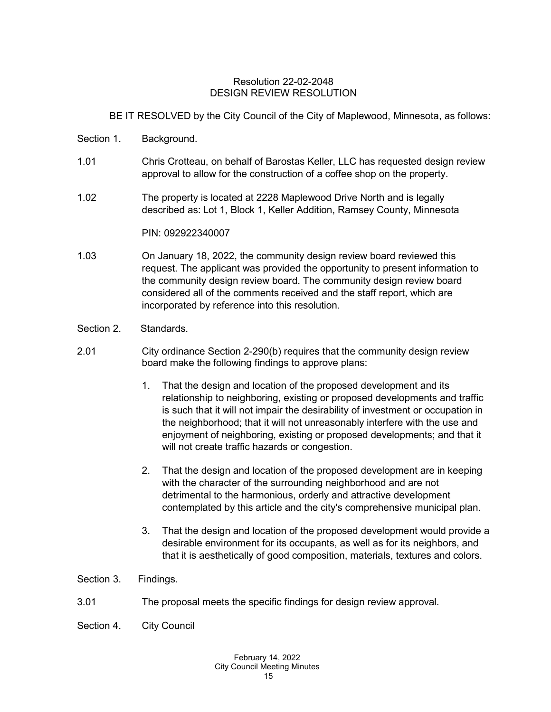#### Resolution 22-02-2048 DESIGN REVIEW RESOLUTION

BE IT RESOLVED by the City Council of the City of Maplewood, Minnesota, as follows:

- Section 1. Background.
- 1.01 Chris Crotteau, on behalf of Barostas Keller, LLC has requested design review approval to allow for the construction of a coffee shop on the property.
- 1.02 The property is located at 2228 Maplewood Drive North and is legally described as: Lot 1, Block 1, Keller Addition, Ramsey County, Minnesota

PIN: 092922340007

- 1.03 On January 18, 2022, the community design review board reviewed this request. The applicant was provided the opportunity to present information to the community design review board. The community design review board considered all of the comments received and the staff report, which are incorporated by reference into this resolution.
- Section 2. Standards.
- 2.01 City ordinance Section 2-290(b) requires that the community design review board make the following findings to approve plans:
	- 1. That the design and location of the proposed development and its relationship to neighboring, existing or proposed developments and traffic is such that it will not impair the desirability of investment or occupation in the neighborhood; that it will not unreasonably interfere with the use and enjoyment of neighboring, existing or proposed developments; and that it will not create traffic hazards or congestion.
	- 2. That the design and location of the proposed development are in keeping with the character of the surrounding neighborhood and are not detrimental to the harmonious, orderly and attractive development contemplated by this article and the city's comprehensive municipal plan.
	- 3. That the design and location of the proposed development would provide a desirable environment for its occupants, as well as for its neighbors, and that it is aesthetically of good composition, materials, textures and colors.

Section 3. Findings.

3.01 The proposal meets the specific findings for design review approval.

Section 4. City Council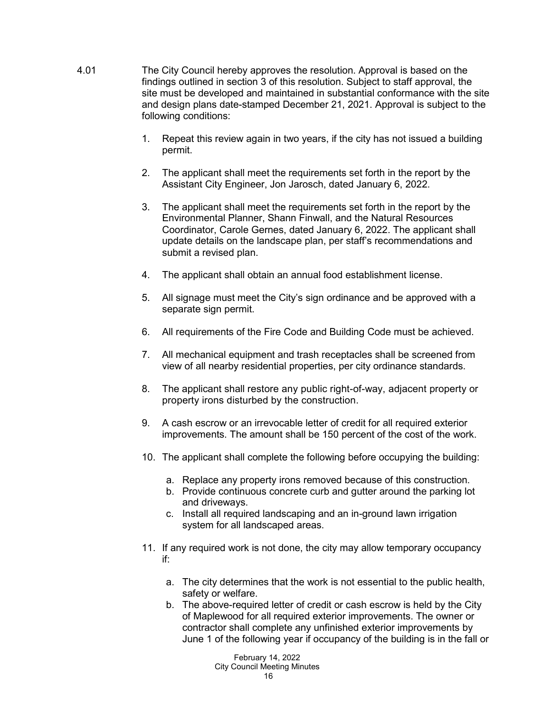- 4.01 The City Council hereby approves the resolution. Approval is based on the findings outlined in section 3 of this resolution. Subject to staff approval, the site must be developed and maintained in substantial conformance with the site and design plans date-stamped December 21, 2021. Approval is subject to the following conditions:
	- 1. Repeat this review again in two years, if the city has not issued a building permit.
	- 2. The applicant shall meet the requirements set forth in the report by the Assistant City Engineer, Jon Jarosch, dated January 6, 2022.
	- 3. The applicant shall meet the requirements set forth in the report by the Environmental Planner, Shann Finwall, and the Natural Resources Coordinator, Carole Gernes, dated January 6, 2022. The applicant shall update details on the landscape plan, per staff's recommendations and submit a revised plan.
	- 4. The applicant shall obtain an annual food establishment license.
	- 5. All signage must meet the City's sign ordinance and be approved with a separate sign permit.
	- 6. All requirements of the Fire Code and Building Code must be achieved.
	- 7. All mechanical equipment and trash receptacles shall be screened from view of all nearby residential properties, per city ordinance standards.
	- 8. The applicant shall restore any public right-of-way, adjacent property or property irons disturbed by the construction.
	- 9. A cash escrow or an irrevocable letter of credit for all required exterior improvements. The amount shall be 150 percent of the cost of the work.
	- 10. The applicant shall complete the following before occupying the building:
		- a. Replace any property irons removed because of this construction.
		- b. Provide continuous concrete curb and gutter around the parking lot and driveways.
		- c. Install all required landscaping and an in-ground lawn irrigation system for all landscaped areas.
	- 11. If any required work is not done, the city may allow temporary occupancy if:
		- a. The city determines that the work is not essential to the public health, safety or welfare.
		- b. The above-required letter of credit or cash escrow is held by the City of Maplewood for all required exterior improvements. The owner or contractor shall complete any unfinished exterior improvements by June 1 of the following year if occupancy of the building is in the fall or

February 14, 2022 City Council Meeting Minutes 16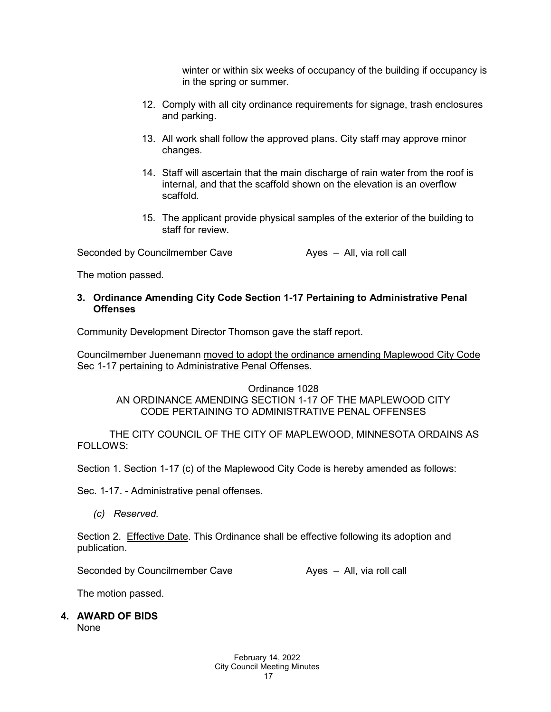winter or within six weeks of occupancy of the building if occupancy is in the spring or summer.

- 12. Comply with all city ordinance requirements for signage, trash enclosures and parking.
- 13. All work shall follow the approved plans. City staff may approve minor changes.
- 14. Staff will ascertain that the main discharge of rain water from the roof is internal, and that the scaffold shown on the elevation is an overflow scaffold.
- 15. The applicant provide physical samples of the exterior of the building to staff for review.

Seconded by Councilmember Cave Ayes – All, via roll call

The motion passed.

## **3. Ordinance Amending City Code Section 1-17 Pertaining to Administrative Penal Offenses**

Community Development Director Thomson gave the staff report.

Councilmember Juenemann moved to adopt the ordinance amending Maplewood City Code Sec 1-17 pertaining to Administrative Penal Offenses.

#### Ordinance 1028 AN ORDINANCE AMENDING SECTION 1-17 OF THE MAPLEWOOD CITY CODE PERTAINING TO ADMINISTRATIVE PENAL OFFENSES

THE CITY COUNCIL OF THE CITY OF MAPLEWOOD, MINNESOTA ORDAINS AS FOLLOWS:

Section 1. Section 1-17 (c) of the Maplewood City Code is hereby amended as follows:

Sec. 1-17. - Administrative penal offenses.

*(c) Reserved.* 

Section 2. Effective Date. This Ordinance shall be effective following its adoption and publication.

Seconded by Councilmember Cave Ayes – All, via roll call

The motion passed.

#### **4. AWARD OF BIDS** None